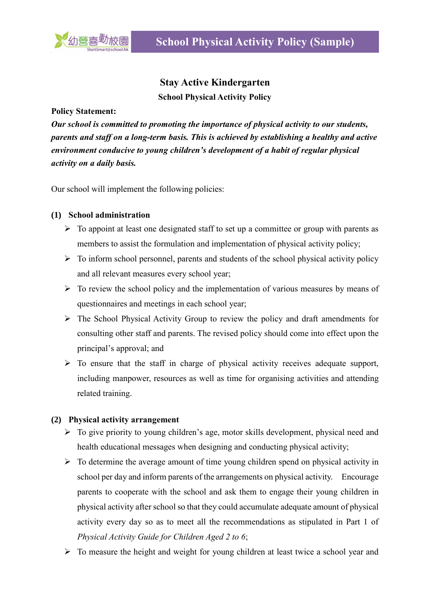

## **Stay Active Kindergarten School Physical Activity Policy**

**Policy Statement:**

*Our school is committed to promoting the importance of physical activity to our students, parents and staff on a long-term basis. This is achieved by establishing a healthy and active environment conducive to young children's development of a habit of regular physical activity on a daily basis.*

Our school will implement the following policies:

## **(1) School administration**

- $\triangleright$  To appoint at least one designated staff to set up a committee or group with parents as members to assist the formulation and implementation of physical activity policy;
- $\triangleright$  To inform school personnel, parents and students of the school physical activity policy and all relevant measures every school year;
- $\triangleright$  To review the school policy and the implementation of various measures by means of questionnaires and meetings in each school year;
- $\triangleright$  The School Physical Activity Group to review the policy and draft amendments for consulting other staff and parents. The revised policy should come into effect upon the principal's approval; and
- $\triangleright$  To ensure that the staff in charge of physical activity receives adequate support, including manpower, resources as well as time for organising activities and attending related training.

## **(2) Physical activity arrangement**

- $\triangleright$  To give priority to young children's age, motor skills development, physical need and health educational messages when designing and conducting physical activity;
- $\triangleright$  To determine the average amount of time young children spend on physical activity in school per day and inform parents of the arrangements on physical activity. Encourage parents to cooperate with the school and ask them to engage their young children in physical activity after school so that they could accumulate adequate amount of physical activity every day so as to meet all the recommendations as stipulated in Part 1 of *Physical Activity Guide for Children Aged 2 to 6*;
- $\triangleright$  To measure the height and weight for young children at least twice a school year and